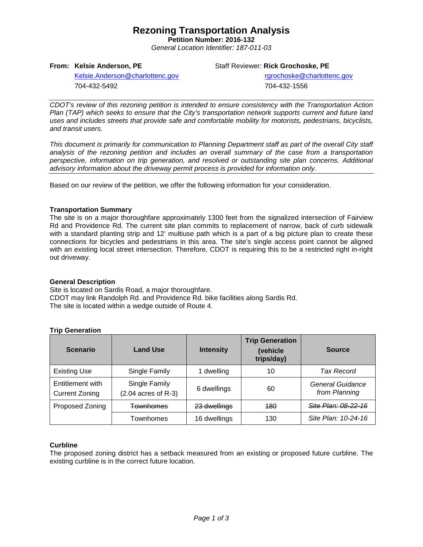## **Rezoning Transportation Analysis**

**Petition Number: 2016-132** *General Location Identifier: 187-011-03*

**From: Kelsie Anderson, PE**

Staff Reviewer: **Rick Grochoske, PE**

[Kelsie.Anderson@charlottenc.gov](mailto:Kelsie.Anderson@charlottenc.gov) 704-432-5492

rgrochoske@charlottenc.gov

704-432-1556

*CDOT's review of this rezoning petition is intended to ensure consistency with the Transportation Action Plan (TAP) which seeks to ensure that the City's transportation network supports current and future land uses and includes streets that provide safe and comfortable mobility for motorists, pedestrians, bicyclists, and transit users.*

*This document is primarily for communication to Planning Department staff as part of the overall City staff analysis of the rezoning petition and includes an overall summary of the case from a transportation perspective, information on trip generation, and resolved or outstanding site plan concerns. Additional advisory information about the driveway permit process is provided for information only.*

Based on our review of the petition, we offer the following information for your consideration.

## **Transportation Summary**

The site is on a major thoroughfare approximately 1300 feet from the signalized intersection of Fairview Rd and Providence Rd. The current site plan commits to replacement of narrow, back of curb sidewalk with a standard planting strip and 12' multiuse path which is a part of a big picture plan to create these connections for bicycles and pedestrians in this area. The site's single access point cannot be aligned with an existing local street intersection. Therefore, CDOT is requiring this to be a restricted right in-right out driveway.

#### **General Description**

Site is located on Sardis Road, a major thoroughfare. CDOT may link Randolph Rd. and Providence Rd. bike facilities along Sardis Rd. The site is located within a wedge outside of Route 4.

## **Trip Generation**

| <b>Scenario</b>                           | <b>Land Use</b>                        | <b>Intensity</b> | <b>Trip Generation</b><br>(vehicle<br>trips/day) | <b>Source</b>                     |
|-------------------------------------------|----------------------------------------|------------------|--------------------------------------------------|-----------------------------------|
| <b>Existing Use</b>                       | Single Family                          | 1 dwelling       | 10                                               | Tax Record                        |
| Entitlement with<br><b>Current Zoning</b> | Single Family<br>$(2.04$ acres of R-3) | 6 dwellings      | 60                                               | General Guidance<br>from Planning |
| Proposed Zoning                           | <b>Townhomes</b>                       | 23 dwellings     | <b>180</b>                                       | <u> Site Plan: 08-22-16</u>       |
|                                           | Townhomes                              | 16 dwellings     | 130                                              | Site Plan: 10-24-16               |

## **Curbline**

The proposed zoning district has a setback measured from an existing or proposed future curbline. The existing curbline is in the correct future location.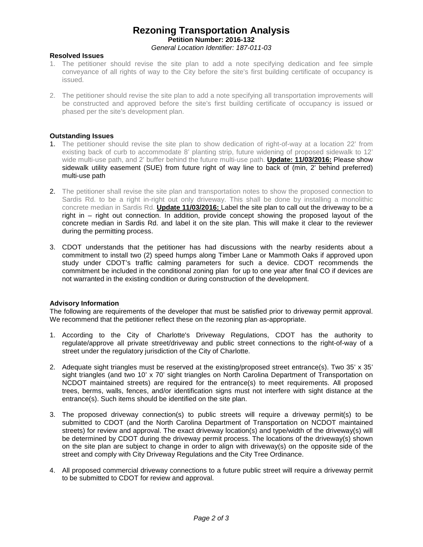## **Rezoning Transportation Analysis Petition Number: 2016-132** *General Location Identifier: 187-011-03*

#### **Resolved Issues**

- 1. The petitioner should revise the site plan to add a note specifying dedication and fee simple conveyance of all rights of way to the City before the site's first building certificate of occupancy is issued.
- 2. The petitioner should revise the site plan to add a note specifying all transportation improvements will be constructed and approved before the site's first building certificate of occupancy is issued or phased per the site's development plan.

#### **Outstanding Issues**

- 1. The petitioner should revise the site plan to show dedication of right-of-way at a location 22' from existing back of curb to accommodate 8' planting strip, future widening of proposed sidewalk to 12' wide multi-use path, and 2' buffer behind the future multi-use path. **Update: 11/03/2016:** Please show sidewalk utility easement (SUE) from future right of way line to back of (min, 2' behind preferred) multi-use path
- 2. The petitioner shall revise the site plan and transportation notes to show the proposed connection to Sardis Rd. to be a right in-right out only driveway. This shall be done by installing a monolithic concrete median in Sardis Rd. **Update 11/03/2016:** Label the site plan to call out the driveway to be a right in – right out connection. In addition, provide concept showing the proposed layout of the concrete median in Sardis Rd. and label it on the site plan. This will make it clear to the reviewer during the permitting process.
- 3. CDOT understands that the petitioner has had discussions with the nearby residents about a commitment to install two (2) speed humps along Timber Lane or Mammoth Oaks if approved upon study under CDOT's traffic calming parameters for such a device. CDOT recommends the commitment be included in the conditional zoning plan for up to one year after final CO if devices are not warranted in the existing condition or during construction of the development.

#### **Advisory Information**

The following are requirements of the developer that must be satisfied prior to driveway permit approval. We recommend that the petitioner reflect these on the rezoning plan as-appropriate.

- 1. According to the City of Charlotte's Driveway Regulations, CDOT has the authority to regulate/approve all private street/driveway and public street connections to the right-of-way of a street under the regulatory jurisdiction of the City of Charlotte.
- 2. Adequate sight triangles must be reserved at the existing/proposed street entrance(s). Two 35' x 35' sight triangles (and two 10' x 70' sight triangles on North Carolina Department of Transportation on NCDOT maintained streets) are required for the entrance(s) to meet requirements. All proposed trees, berms, walls, fences, and/or identification signs must not interfere with sight distance at the entrance(s). Such items should be identified on the site plan.
- 3. The proposed driveway connection(s) to public streets will require a driveway permit(s) to be submitted to CDOT (and the North Carolina Department of Transportation on NCDOT maintained streets) for review and approval. The exact driveway location(s) and type/width of the driveway(s) will be determined by CDOT during the driveway permit process. The locations of the driveway(s) shown on the site plan are subject to change in order to align with driveway(s) on the opposite side of the street and comply with City Driveway Regulations and the City Tree Ordinance.
- 4. All proposed commercial driveway connections to a future public street will require a driveway permit to be submitted to CDOT for review and approval.